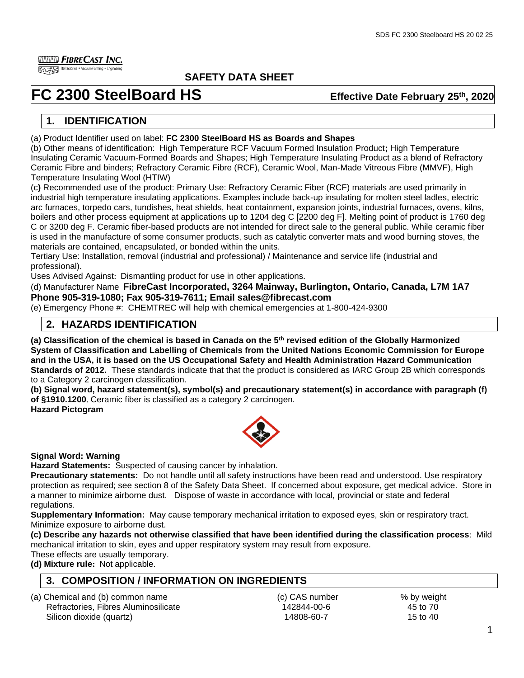**IIIIIIII FibreCast Inc.** 

Essayers Refractories • Vacuum-Forming • Engineeri

## **SAFETY DATA SHEET**

# **FC** 2300 SteelBoard HS

## **Effective Date February 25th, 2020**

# **1. IDENTIFICATION**

(a) Product Identifier used on label: **FC 2300 SteelBoard HS as Boards and Shapes**

(b) Other means of identification: High Temperature RCF Vacuum Formed Insulation Product**;** High Temperature Insulating Ceramic Vacuum-Formed Boards and Shapes; High Temperature Insulating Product as a blend of Refractory Ceramic Fibre and binders; Refractory Ceramic Fibre (RCF), Ceramic Wool, Man-Made Vitreous Fibre (MMVF), High Temperature Insulating Wool (HTIW)

(c**)** Recommended use of the product: Primary Use: Refractory Ceramic Fiber (RCF) materials are used primarily in industrial high temperature insulating applications. Examples include back-up insulating for molten steel ladles, electric arc furnaces, torpedo cars, tundishes, heat shields, heat containment, expansion joints, industrial furnaces, ovens, kilns, boilers and other process equipment at applications up to 1204 deg C [2200 deg F]. Melting point of product is 1760 deg C or 3200 deg F. Ceramic fiber-based products are not intended for direct sale to the general public. While ceramic fiber is used in the manufacture of some consumer products, such as catalytic converter mats and wood burning stoves, the materials are contained, encapsulated, or bonded within the units.

Tertiary Use: Installation, removal (industrial and professional) / Maintenance and service life (industrial and professional).

Uses Advised Against: Dismantling product for use in other applications.

(d) Manufacturer Name **FibreCast Incorporated, 3264 Mainway, Burlington, Ontario, Canada, L7M 1A7 Phone 905-319-1080; Fax 905-319-7611; Email sales@fibrecast.com**

(e) Emergency Phone #: CHEMTREC will help with chemical emergencies at 1-800-424-9300

## **2. HAZARDS IDENTIFICATION**

**(a) Classification of the chemical is based in Canada on the 5th revised edition of the Globally Harmonized System of Classification and Labelling of Chemicals from the United Nations Economic Commission for Europe and in the USA, it is based on the US Occupational Safety and Health Administration Hazard Communication Standards of 2012.** These standards indicate that that the product is considered as IARC Group 2B which corresponds to a Category 2 carcinogen classification.

**(b) Signal word, hazard statement(s), symbol(s) and precautionary statement(s) in accordance with paragraph (f) of §1910.1200**. Ceramic fiber is classified as a category 2 carcinogen. **Hazard Pictogram**



#### **Signal Word: Warning**

**Hazard Statements:** Suspected of causing cancer by inhalation.

**Precautionary statements:** Do not handle until all safety instructions have been read and understood. Use respiratory protection as required; see section 8 of the Safety Data Sheet. If concerned about exposure, get medical advice. Store in a manner to minimize airborne dust. Dispose of waste in accordance with local, provincial or state and federal regulations.

**Supplementary Information:** May cause temporary mechanical irritation to exposed eyes, skin or respiratory tract. Minimize exposure to airborne dust.

**(c) Describe any hazards not otherwise classified that have been identified during the classification process**: Mild mechanical irritation to skin, eyes and upper respiratory system may result from exposure.

These effects are usually temporary.

**(d) Mixture rule:** Not applicable.

# **3. COMPOSITION / INFORMATION ON INGREDIENTS**

(a) Chemical and (b) common name (a) CAS number  $\begin{array}{c} \text{(a) Chemical and (b) common name} \\ \text{(b) Refractories, Fibres Aluminosilicate} \end{array}$  (c) CAS number  $\begin{array}{c} \text{(c) CAS number} \\ \text{(d) 42844-00-6} \end{array}$  (c) CAS number Refractories, Fibres Aluminosilicate 142844-00-6 Silicon dioxide (quartz) 2008-60-7 14808-60-7 15 to 40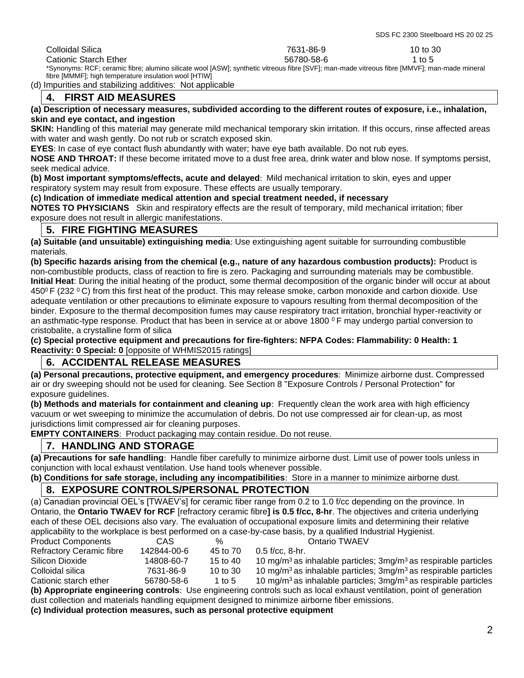Colloidal Silica 7631-86-9 10 to 30 Cationic Starch Ether 6580-68-6 1 to 5

\*Synonyms: RCF; ceramic fibre; alumino silicate wool [ASW]; synthetic vitreous fibre [SVF]; man-made vitreous fibre [MMVF]; man-made mineral fibre [MMMF]; high temperature insulation wool [HTIW]

(d) Impurities and stabilizing additives: Not applicable

## **4. FIRST AID MEASURES**

#### **(a) Description of necessary measures, subdivided according to the different routes of exposure, i.e., inhalation, skin and eye contact, and ingestion**

**SKIN:** Handling of this material may generate mild mechanical temporary skin irritation. If this occurs, rinse affected areas with water and wash gently. Do not rub or scratch exposed skin.

**EYES**: In case of eye contact flush abundantly with water; have eye bath available. Do not rub eyes.

**NOSE AND THROAT:** If these become irritated move to a dust free area, drink water and blow nose. If symptoms persist, seek medical advice.

**(b) Most important symptoms/effects, acute and delayed**: Mild mechanical irritation to skin, eyes and upper respiratory system may result from exposure. These effects are usually temporary.

#### **(c) Indication of immediate medical attention and special treatment needed, if necessary**

**NOTES TO PHYSICIANS** Skin and respiratory effects are the result of temporary, mild mechanical irritation; fiber exposure does not result in allergic manifestations.

### **5. FIRE FIGHTING MEASURES**

**(a) Suitable (and unsuitable) extinguishing media**: Use extinguishing agent suitable for surrounding combustible materials.

**(b) Specific hazards arising from the chemical (e.g., nature of any hazardous combustion products):** Product is non-combustible products, class of reaction to fire is zero. Packaging and surrounding materials may be combustible. **Initial Heat**: During the initial heating of the product, some thermal decomposition of the organic binder will occur at about 450 $\degree$  F (232  $\degree$ C) from this first heat of the product. This may release smoke, carbon monoxide and carbon dioxide. Use adequate ventilation or other precautions to eliminate exposure to vapours resulting from thermal decomposition of the binder. Exposure to the thermal decomposition fumes may cause respiratory tract irritation, bronchial hyper-reactivity or an asthmatic-type response. Product that has been in service at or above 1800  $\degree$ F may undergo partial conversion to cristobalite, a crystalline form of silica

**(c) Special protective equipment and precautions for fire-fighters: NFPA Codes: Flammability: 0 Health: 1 Reactivity: 0 Special: 0** [opposite of WHMIS2015 ratings]

## **6. ACCIDENTAL RELEASE MEASURES**

**(a) Personal precautions, protective equipment, and emergency procedures**: Minimize airborne dust. Compressed air or dry sweeping should not be used for cleaning. See Section 8 "Exposure Controls / Personal Protection" for exposure guidelines.

**(b) Methods and materials for containment and cleaning up**: Frequently clean the work area with high efficiency vacuum or wet sweeping to minimize the accumulation of debris. Do not use compressed air for clean-up, as most jurisdictions limit compressed air for cleaning purposes.

**EMPTY CONTAINERS**: Product packaging may contain residue. Do not reuse.

# **7. HANDLING AND STORAGE**

**(a) Precautions for safe handling**: Handle fiber carefully to minimize airborne dust. Limit use of power tools unless in conjunction with local exhaust ventilation. Use hand tools whenever possible.

**(b) Conditions for safe storage, including any incompatibilities**: Store in a manner to minimize airborne dust.

## **8. EXPOSURE CONTROLS/PERSONAL PROTECTION**

(a) Canadian provincial OEL's [TWAEV's] for ceramic fiber range from 0.2 to 1.0 f/cc depending on the province. In Ontario, the **Ontario TWAEV for RCF** [refractory ceramic fibre**] is 0.5 f/cc, 8-hr**. The objectives and criteria underlying each of these OEL decisions also vary. The evaluation of occupational exposure limits and determining their relative applicability to the workplace is best performed on a case-by-case basis, by a qualified Industrial Hygienist.

| <b>Product Components</b>                                                                                             | CAS         | $\%$       | Ontario TWAEV                                                                              |  |
|-----------------------------------------------------------------------------------------------------------------------|-------------|------------|--------------------------------------------------------------------------------------------|--|
| <b>Refractory Ceramic fibre</b>                                                                                       | 142844-00-6 | 45 to 70   | $0.5$ f/cc. 8-hr.                                                                          |  |
| Silicon Dioxide                                                                                                       | 14808-60-7  | 15 to 40   | 10 mg/m <sup>3</sup> as inhalable particles; $3$ mg/m <sup>3</sup> as respirable particles |  |
| Colloidal silica                                                                                                      | 7631-86-9   | 10 to $30$ | 10 mg/m <sup>3</sup> as inhalable particles; $3$ mg/m <sup>3</sup> as respirable particles |  |
| Cationic starch ether                                                                                                 | 56780-58-6  | 1 to 5     | 10 mg/m <sup>3</sup> as inhalable particles; $3$ mg/m <sup>3</sup> as respirable particles |  |
| (b) Appropriate engineering controls: Use engineering controls such as local exhaust ventilation, point of generation |             |            |                                                                                            |  |

dust collection and materials handling equipment designed to minimize airborne fiber emissions.

**(c) Individual protection measures, such as personal protective equipment**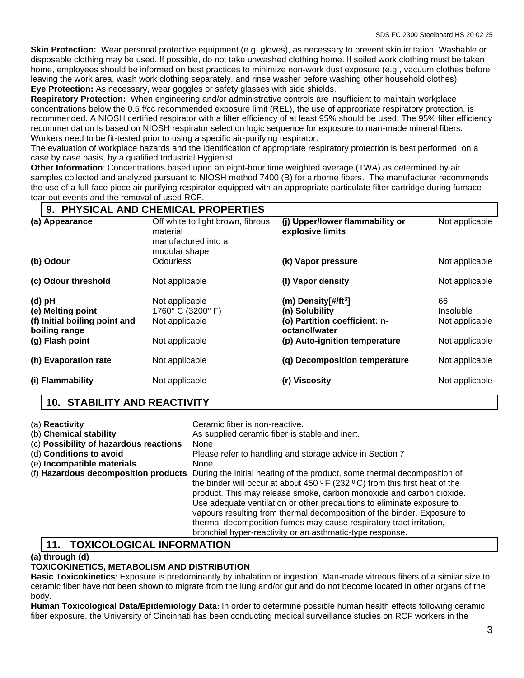**Skin Protection:** Wear personal protective equipment (e.g. gloves), as necessary to prevent skin irritation. Washable or disposable clothing may be used. If possible, do not take unwashed clothing home. If soiled work clothing must be taken home, employees should be informed on best practices to minimize non-work dust exposure (e.g., vacuum clothes before leaving the work area, wash work clothing separately, and rinse washer before washing other household clothes). **Eye Protection:** As necessary, wear goggles or safety glasses with side shields.

**Respiratory Protection:** When engineering and/or administrative controls are insufficient to maintain workplace concentrations below the 0.5 f/cc recommended exposure limit (REL), the use of appropriate respiratory protection, is recommended. A NIOSH certified respirator with a filter efficiency of at least 95% should be used. The 95% filter efficiency recommendation is based on NIOSH respirator selection logic sequence for exposure to man-made mineral fibers. Workers need to be fit-tested prior to using a specific air-purifying respirator.

The evaluation of workplace hazards and the identification of appropriate respiratory protection is best performed, on a case by case basis, by a qualified Industrial Hygienist.

**Other Information**: Concentrations based upon an eight-hour time weighted average (TWA) as determined by air samples collected and analyzed pursuant to NIOSH method 7400 (B) for airborne fibers. The manufacturer recommends the use of a full-face piece air purifying respirator equipped with an appropriate particulate filter cartridge during furnace tear-out events and the removal of used RCF.

|        | 9. PHYSICAL AND CHEMICAL PROPERTIES                                                    |                                                                                       |                                                                                                                             |                                                     |  |
|--------|----------------------------------------------------------------------------------------|---------------------------------------------------------------------------------------|-----------------------------------------------------------------------------------------------------------------------------|-----------------------------------------------------|--|
|        | (a) Appearance                                                                         | Off white to light brown, fibrous<br>material<br>manufactured into a<br>modular shape | (j) Upper/lower flammability or<br>explosive limits                                                                         | Not applicable                                      |  |
|        | (b) Odour                                                                              | <b>Odourless</b>                                                                      | (k) Vapor pressure                                                                                                          | Not applicable                                      |  |
|        | (c) Odour threshold                                                                    | Not applicable                                                                        | (I) Vapor density                                                                                                           | Not applicable                                      |  |
| (d) pH | (e) Melting point<br>(f) Initial boiling point and<br>boiling range<br>(g) Flash point | Not applicable<br>1760° C (3200° F)<br>Not applicable<br>Not applicable               | (m) Density[#/ft $3$ ]<br>(n) Solubility<br>(o) Partition coefficient: n-<br>octanol/water<br>(p) Auto-ignition temperature | 66<br>Insoluble<br>Not applicable<br>Not applicable |  |
|        | (h) Evaporation rate                                                                   | Not applicable                                                                        | (q) Decomposition temperature                                                                                               | Not applicable                                      |  |
|        | (i) Flammability                                                                       | Not applicable                                                                        | (r) Viscosity                                                                                                               | Not applicable                                      |  |

# **10. STABILITY AND REACTIVITY**

| (a) Reactivity<br>(b) Chemical stability<br>(c) Possibility of hazardous reactions<br>(d) Conditions to avoid<br>(e) Incompatible materials | Ceramic fiber is non-reactive.<br>As supplied ceramic fiber is stable and inert.<br>None<br>Please refer to handling and storage advice in Section 7<br><b>None</b><br>(f) Hazardous decomposition products During the initial heating of the product, some thermal decomposition of<br>the binder will occur at about 450 $\,^{\circ}$ F (232 $\,^{\circ}$ C) from this first heat of the<br>product. This may release smoke, carbon monoxide and carbon dioxide.<br>Use adequate ventilation or other precautions to eliminate exposure to |
|---------------------------------------------------------------------------------------------------------------------------------------------|----------------------------------------------------------------------------------------------------------------------------------------------------------------------------------------------------------------------------------------------------------------------------------------------------------------------------------------------------------------------------------------------------------------------------------------------------------------------------------------------------------------------------------------------|
|                                                                                                                                             | vapours resulting from thermal decomposition of the binder. Exposure to<br>thermal decomposition fumes may cause respiratory tract irritation,<br>bronchial hyper-reactivity or an asthmatic-type response.                                                                                                                                                                                                                                                                                                                                  |

# **11. TOXICOLOGICAL INFORMATION**

#### **(a) through (d)**

#### **TOXICOKINETICS, METABOLISM AND DISTRIBUTION**

**Basic Toxicokinetics**: Exposure is predominantly by inhalation or ingestion. Man-made vitreous fibers of a similar size to ceramic fiber have not been shown to migrate from the lung and/or gut and do not become located in other organs of the body.

**Human Toxicological Data/Epidemiology Data**: In order to determine possible human health effects following ceramic fiber exposure, the University of Cincinnati has been conducting medical surveillance studies on RCF workers in the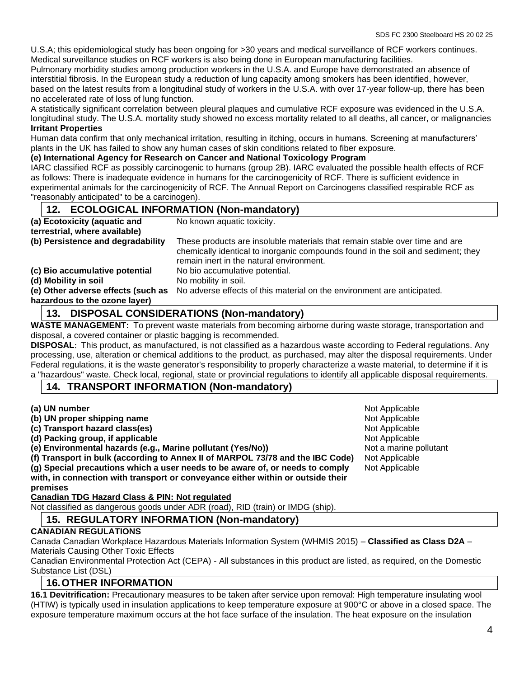U.S.A; this epidemiological study has been ongoing for >30 years and medical surveillance of RCF workers continues. Medical surveillance studies on RCF workers is also being done in European manufacturing facilities.

Pulmonary morbidity studies among production workers in the U.S.A. and Europe have demonstrated an absence of interstitial fibrosis. In the European study a reduction of lung capacity among smokers has been identified, however, based on the latest results from a longitudinal study of workers in the U.S.A. with over 17-year follow-up, there has been no accelerated rate of loss of lung function.

A statistically significant correlation between pleural plaques and cumulative RCF exposure was evidenced in the U.S.A. longitudinal study. The U.S.A. mortality study showed no excess mortality related to all deaths, all cancer, or malignancies **Irritant Properties**

Human data confirm that only mechanical irritation, resulting in itching, occurs in humans. Screening at manufacturers' plants in the UK has failed to show any human cases of skin conditions related to fiber exposure.

#### **(e) International Agency for Research on Cancer and National Toxicology Program**

IARC classified RCF as possibly carcinogenic to humans (group 2B). IARC evaluated the possible health effects of RCF as follows: There is inadequate evidence in humans for the carcinogenicity of RCF. There is sufficient evidence in experimental animals for the carcinogenicity of RCF. The Annual Report on Carcinogens classified respirable RCF as "reasonably anticipated" to be a carcinogen).

#### **12. ECOLOGICAL INFORMATION (Non-mandatory) (a) Ecotoxicity (aquatic and terrestrial, where available)** No known aquatic toxicity. **(b) Persistence and degradability** These products are insoluble materials that remain stable over time and are chemically identical to inorganic compounds found in the soil and sediment; they remain inert in the natural environment. **(c) Bio accumulative potential** No bio accumulative potential. **(d) Mobility in soil** No mobility in soil. **(e) Other adverse effects (such as hazardous to the ozone layer)** No adverse effects of this material on the environment are anticipated.

# **13. DISPOSAL CONSIDERATIONS (Non-mandatory)**

**WASTE MANAGEMENT:** To prevent waste materials from becoming airborne during waste storage, transportation and disposal, a covered container or plastic bagging is recommended.

**DISPOSAL**: This product, as manufactured, is not classified as a hazardous waste according to Federal regulations. Any processing, use, alteration or chemical additions to the product, as purchased, may alter the disposal requirements. Under Federal regulations, it is the waste generator's responsibility to properly characterize a waste material, to determine if it is a "hazardous" waste. Check local, regional, state or provincial regulations to identify all applicable disposal requirements.

## **14. TRANSPORT INFORMATION (Non-mandatory)**

**(a) UN number** Not Applicable **(b) UN proper shipping name (c) UN proper shipping name** Not Applicable **Not Applicable**<br>
(c) Transport hazard class(es) **Not Applicable** Not Applicable  $(c)$  Transport hazard class(es) **(d) Packing group, if applicable**  $\blacksquare$ **(e) Environmental hazards (e.g., Marine pollutant (Yes/No))** Not a marine pollutant **(f) Transport in bulk (according to Annex II of MARPOL 73/78 and the IBC Code)** Not Applicable **(g) Special precautions which a user needs to be aware of, or needs to comply with, in connection with transport or conveyance either within or outside their**  Not Applicable

**premises**

**Canadian TDG Hazard Class & PIN: Not regulated** 

Not classified as dangerous goods under ADR (road), RID (train) or IMDG (ship).

# **15. REGULATORY INFORMATION (Non-mandatory)**

#### **CANADIAN REGULATIONS**

Canada Canadian Workplace Hazardous Materials Information System (WHMIS 2015) – **Classified as Class D2A** – Materials Causing Other Toxic Effects

Canadian Environmental Protection Act (CEPA) - All substances in this product are listed, as required, on the Domestic Substance List (DSL)

# **16.OTHER INFORMATION**

**16.1 Devitrification:** Precautionary measures to be taken after service upon removal: High temperature insulating wool (HTIW) is typically used in insulation applications to keep temperature exposure at 900°C or above in a closed space. The exposure temperature maximum occurs at the hot face surface of the insulation. The heat exposure on the insulation

4